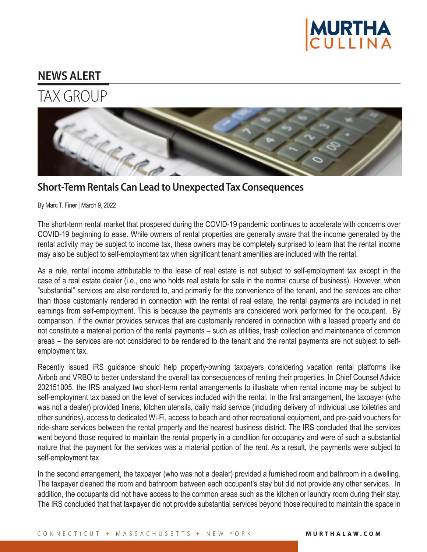

## **NEWS ALERT**

## TAX GROUP



By Marc T. Finer | March 9, 2022

The short-term rental market that prospered during the COVID-19 pandemic continues to accelerate with concerns over COVID-19 beginning to ease. While owners of rental properties are generally aware that the income generated by the rental activity may be subject to income tax, these owners may be completely surprised to learn that the rental income may also be subject to self-employment tax when significant tenant amenities are included with the rental.

As a rule, rental income attributable to the lease of real estate is not subject to self-employment tax except in the case of a real estate dealer (i.e., one who holds real estate for sale in the normal course of business). However, when "substantial" services are also rendered to, and primarily for the convenience of the tenant, and the services are other than those customarily rendered in connection with the rental of real estate, the rental payments are included in net earnings from self-employment. This is because the payments are considered work performed for the occupant. By comparison, if the owner provides services that are customarily rendered in connection with a leased property and do not constitute a material portion of the rental payments – such as utilities, trash collection and maintenance of common areas – the services are not considered to be rendered to the tenant and the rental payments are not subject to selfemployment tax.

Recently issued IRS guidance should help property-owning taxpayers considering vacation rental platforms like Airbnb and VRBO to better understand the overall tax consequences of renting their properties. In Chief Counsel Advice 202151005, the IRS analyzed two short-term rental arrangements to illustrate when rental income may be subject to self-employment tax based on the level of services included with the rental. In the first arrangement, the taxpayer (who was not a dealer) provided linens, kitchen utensils, daily maid service (including delivery of individual use toiletries and other sundries), access to dedicated Wi-Fi, access to beach and other recreational equipment, and pre-paid vouchers for ride-share services between the rental property and the nearest business district. The IRS concluded that the services went beyond those required to maintain the rental property in a condition for occupancy and were of such a substantial nature that the payment for the services was a material portion of the rent. As a result, the payments were subject to self-employment tax.

In the second arrangement, the taxpayer (who was not a dealer) provided a furnished room and bathroom in a dwelling. The taxpayer cleaned the room and bathroom between each occupant's stay but did not provide any other services. In addition, the occupants did not have access to the common areas such as the kitchen or laundry room during their stay. The IRS concluded that that taxpayer did not provide substantial services beyond those required to maintain the space in